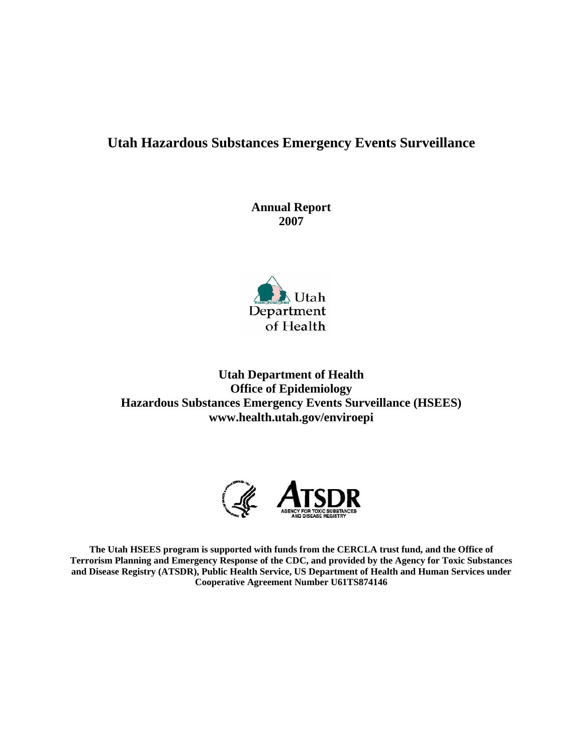# **Utah Hazardous Substances Emergency Events Surveillance**

**Annual Report 2007** 



**Utah Department of Health Office of Epidemiology Hazardous Substances Emergency Events Surveillance (HSEES) www.health.utah.gov/enviroepi** 



**The Utah HSEES program is supported with funds from the CERCLA trust fund, and the Office of Terrorism Planning and Emergency Response of the CDC, and provided by the Agency for Toxic Substances and Disease Registry (ATSDR), Public Health Service, US Department of Health and Human Services under Cooperative Agreement Number U61TS874146**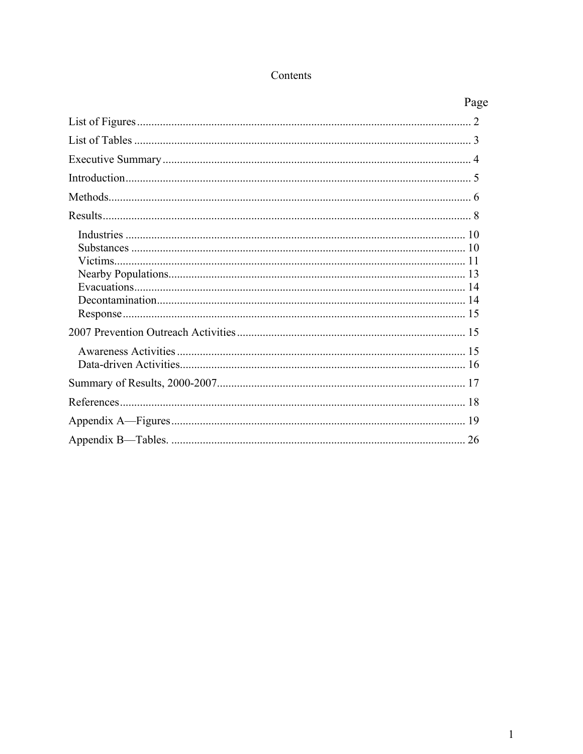## Contents

| Page |
|------|
|      |
|      |
|      |
|      |
|      |
|      |
|      |
|      |
|      |
|      |
|      |
|      |
|      |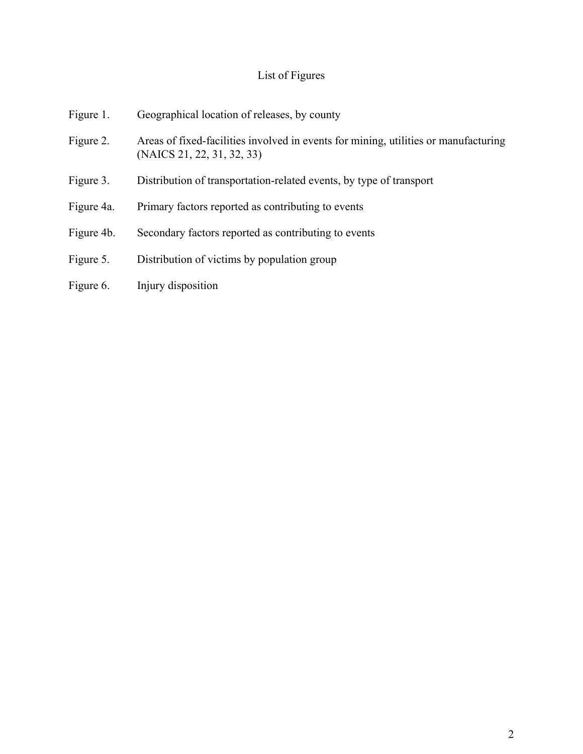# List of Figures

| Figure 1.  | Geographical location of releases, by county                                                                      |
|------------|-------------------------------------------------------------------------------------------------------------------|
| Figure 2.  | Areas of fixed-facilities involved in events for mining, utilities or manufacturing<br>(NAICS 21, 22, 31, 32, 33) |
| Figure 3.  | Distribution of transportation-related events, by type of transport                                               |
| Figure 4a. | Primary factors reported as contributing to events                                                                |
| Figure 4b. | Secondary factors reported as contributing to events                                                              |
| Figure 5.  | Distribution of victims by population group                                                                       |
| Figure 6.  | Injury disposition                                                                                                |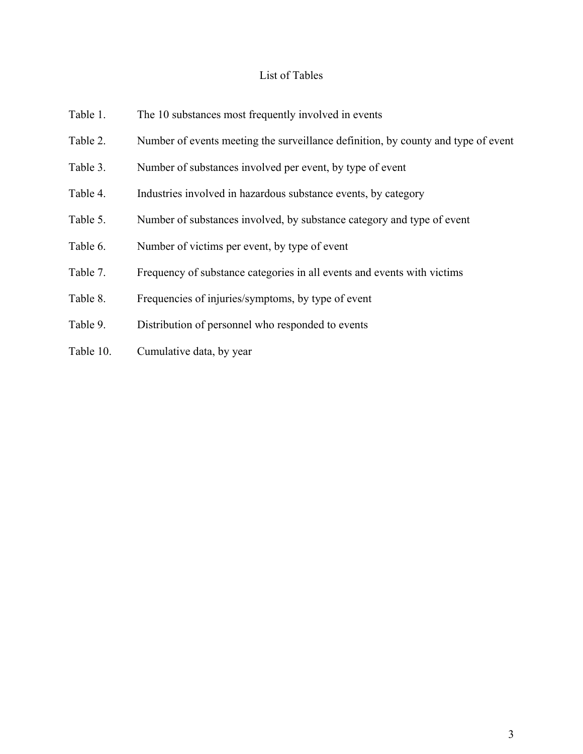## List of Tables

| Table 1.  | The 10 substances most frequently involved in events                              |
|-----------|-----------------------------------------------------------------------------------|
| Table 2.  | Number of events meeting the surveillance definition, by county and type of event |
| Table 3.  | Number of substances involved per event, by type of event                         |
| Table 4.  | Industries involved in hazardous substance events, by category                    |
| Table 5.  | Number of substances involved, by substance category and type of event            |
| Table 6.  | Number of victims per event, by type of event                                     |
| Table 7.  | Frequency of substance categories in all events and events with victims           |
| Table 8.  | Frequencies of injuries/symptoms, by type of event                                |
| Table 9.  | Distribution of personnel who responded to events                                 |
| Table 10. | Cumulative data, by year                                                          |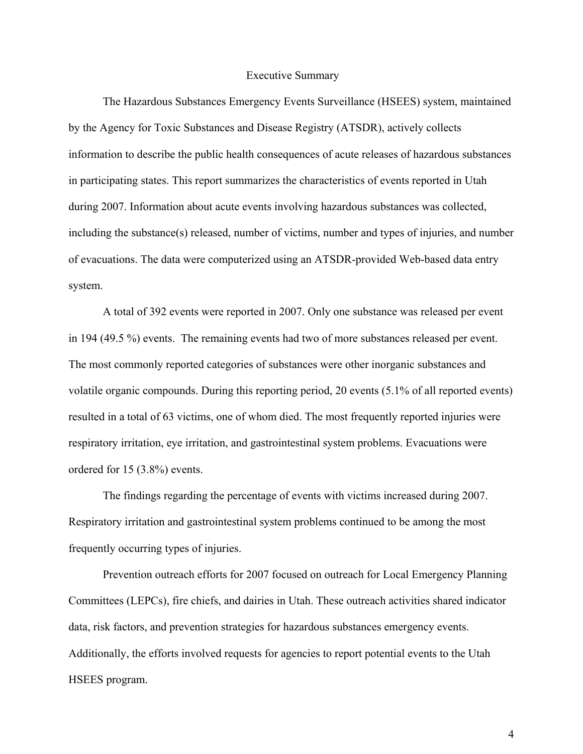#### Executive Summary

The Hazardous Substances Emergency Events Surveillance (HSEES) system, maintained by the Agency for Toxic Substances and Disease Registry (ATSDR), actively collects information to describe the public health consequences of acute releases of hazardous substances in participating states. This report summarizes the characteristics of events reported in Utah during 2007. Information about acute events involving hazardous substances was collected, including the substance(s) released, number of victims, number and types of injuries, and number of evacuations. The data were computerized using an ATSDR-provided Web-based data entry system.

 A total of 392 events were reported in 2007. Only one substance was released per event in 194 (49.5 %) events. The remaining events had two of more substances released per event. The most commonly reported categories of substances were other inorganic substances and volatile organic compounds. During this reporting period, 20 events (5.1% of all reported events) resulted in a total of 63 victims, one of whom died. The most frequently reported injuries were respiratory irritation, eye irritation, and gastrointestinal system problems. Evacuations were ordered for 15 (3.8%) events.

 The findings regarding the percentage of events with victims increased during 2007. Respiratory irritation and gastrointestinal system problems continued to be among the most frequently occurring types of injuries.

Prevention outreach efforts for 2007 focused on outreach for Local Emergency Planning Committees (LEPCs), fire chiefs, and dairies in Utah. These outreach activities shared indicator data, risk factors, and prevention strategies for hazardous substances emergency events. Additionally, the efforts involved requests for agencies to report potential events to the Utah HSEES program.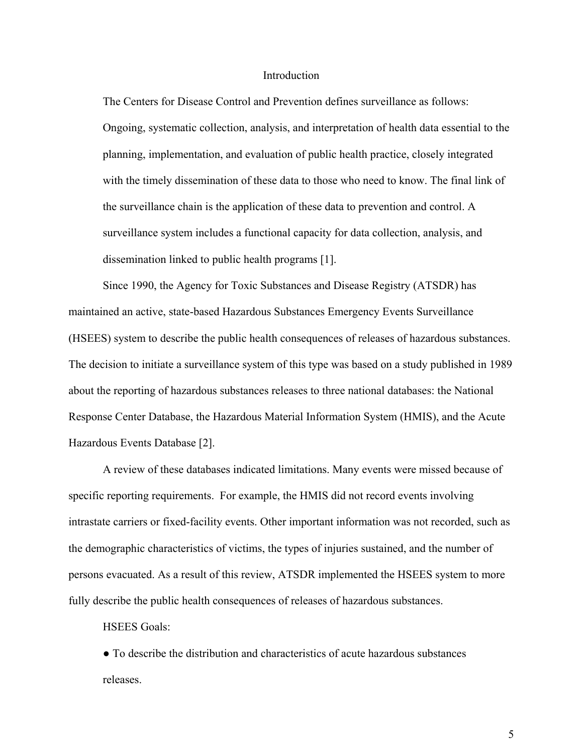#### Introduction

The Centers for Disease Control and Prevention defines surveillance as follows: Ongoing, systematic collection, analysis, and interpretation of health data essential to the planning, implementation, and evaluation of public health practice, closely integrated with the timely dissemination of these data to those who need to know. The final link of the surveillance chain is the application of these data to prevention and control. A surveillance system includes a functional capacity for data collection, analysis, and dissemination linked to public health programs [1].

Since 1990, the Agency for Toxic Substances and Disease Registry (ATSDR) has maintained an active, state-based Hazardous Substances Emergency Events Surveillance (HSEES) system to describe the public health consequences of releases of hazardous substances. The decision to initiate a surveillance system of this type was based on a study published in 1989 about the reporting of hazardous substances releases to three national databases: the National Response Center Database, the Hazardous Material Information System (HMIS), and the Acute Hazardous Events Database [2].

A review of these databases indicated limitations. Many events were missed because of specific reporting requirements. For example, the HMIS did not record events involving intrastate carriers or fixed-facility events. Other important information was not recorded, such as the demographic characteristics of victims, the types of injuries sustained, and the number of persons evacuated. As a result of this review, ATSDR implemented the HSEES system to more fully describe the public health consequences of releases of hazardous substances.

HSEES Goals:

● To describe the distribution and characteristics of acute hazardous substances releases.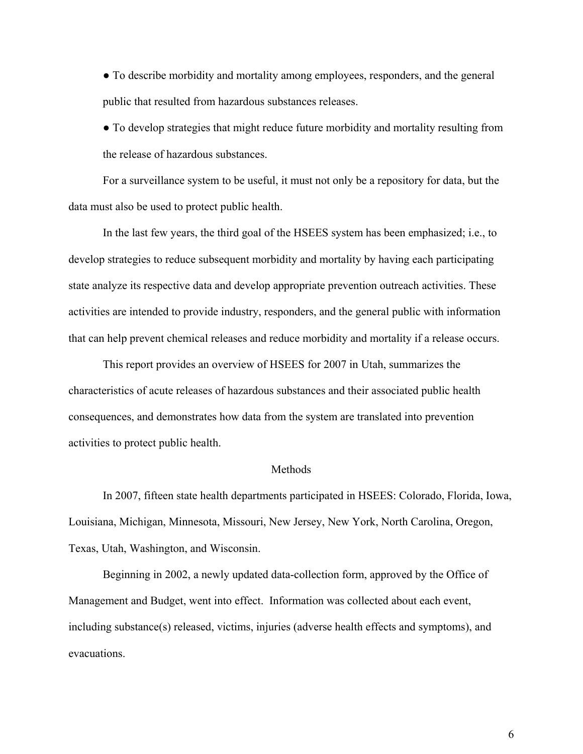● To describe morbidity and mortality among employees, responders, and the general public that resulted from hazardous substances releases.

• To develop strategies that might reduce future morbidity and mortality resulting from the release of hazardous substances.

For a surveillance system to be useful, it must not only be a repository for data, but the data must also be used to protect public health.

In the last few years, the third goal of the HSEES system has been emphasized; i.e., to develop strategies to reduce subsequent morbidity and mortality by having each participating state analyze its respective data and develop appropriate prevention outreach activities. These activities are intended to provide industry, responders, and the general public with information that can help prevent chemical releases and reduce morbidity and mortality if a release occurs.

This report provides an overview of HSEES for 2007 in Utah, summarizes the characteristics of acute releases of hazardous substances and their associated public health consequences, and demonstrates how data from the system are translated into prevention activities to protect public health.

#### Methods

In 2007, fifteen state health departments participated in HSEES: Colorado, Florida, Iowa, Louisiana, Michigan, Minnesota, Missouri, New Jersey, New York, North Carolina, Oregon, Texas, Utah, Washington, and Wisconsin.

Beginning in 2002, a newly updated data-collection form, approved by the Office of Management and Budget, went into effect. Information was collected about each event, including substance(s) released, victims, injuries (adverse health effects and symptoms), and evacuations.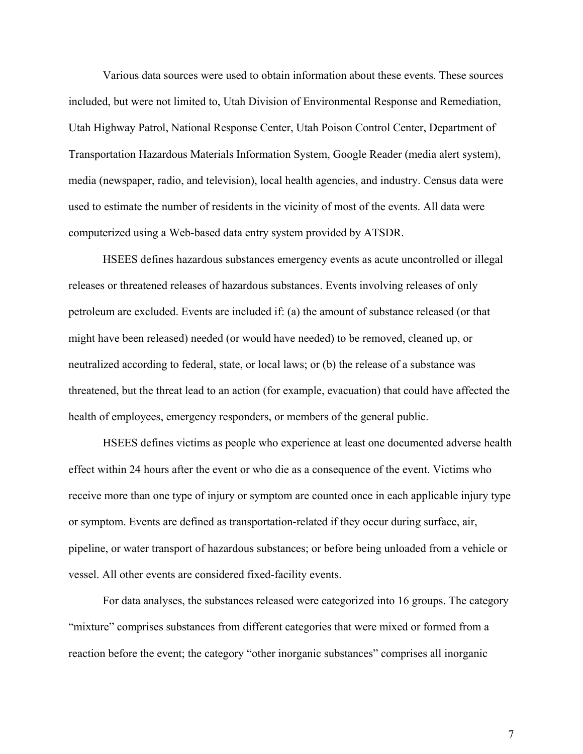Various data sources were used to obtain information about these events. These sources included, but were not limited to, Utah Division of Environmental Response and Remediation, Utah Highway Patrol, National Response Center, Utah Poison Control Center, Department of Transportation Hazardous Materials Information System, Google Reader (media alert system), media (newspaper, radio, and television), local health agencies, and industry. Census data were used to estimate the number of residents in the vicinity of most of the events. All data were computerized using a Web-based data entry system provided by ATSDR.

HSEES defines hazardous substances emergency events as acute uncontrolled or illegal releases or threatened releases of hazardous substances. Events involving releases of only petroleum are excluded. Events are included if: (a) the amount of substance released (or that might have been released) needed (or would have needed) to be removed, cleaned up, or neutralized according to federal, state, or local laws; or (b) the release of a substance was threatened, but the threat lead to an action (for example, evacuation) that could have affected the health of employees, emergency responders, or members of the general public.

HSEES defines victims as people who experience at least one documented adverse health effect within 24 hours after the event or who die as a consequence of the event. Victims who receive more than one type of injury or symptom are counted once in each applicable injury type or symptom. Events are defined as transportation-related if they occur during surface, air, pipeline, or water transport of hazardous substances; or before being unloaded from a vehicle or vessel. All other events are considered fixed-facility events.

For data analyses, the substances released were categorized into 16 groups. The category "mixture" comprises substances from different categories that were mixed or formed from a reaction before the event; the category "other inorganic substances" comprises all inorganic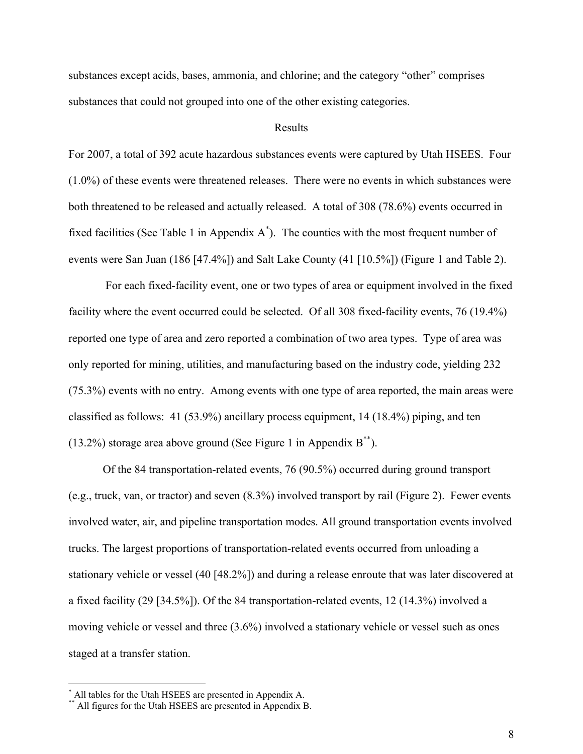substances except acids, bases, ammonia, and chlorine; and the category "other" comprises substances that could not grouped into one of the other existing categories.

#### Results

For 2007, a total of 392 acute hazardous substances events were captured by Utah HSEES. Four (1.0%) of these events were threatened releases. There were no events in which substances were both threatened to be released and actually released. A total of 308 (78.6%) events occurred in fixed facilities (See Table 1 in Appendix  $A^*$ ). The counties with the most frequent number of events were San Juan (186 [47.4%]) and Salt Lake County (41 [10.5%]) (Figure 1 and Table 2).

 For each fixed-facility event, one or two types of area or equipment involved in the fixed facility where the event occurred could be selected. Of all 308 fixed-facility events, 76 (19.4%) reported one type of area and zero reported a combination of two area types. Type of area was only reported for mining, utilities, and manufacturing based on the industry code, yielding 232 (75.3%) events with no entry. Among events with one type of area reported, the main areas were classified as follows: 41 (53.9%) ancillary process equipment, 14 (18.4%) piping, and ten  $(13.2\%)$  storage area above ground (See Figure 1 in Appendix B<sup>\*\*</sup>).

Of the 84 transportation-related events, 76 (90.5%) occurred during ground transport (e.g., truck, van, or tractor) and seven (8.3%) involved transport by rail (Figure 2). Fewer events involved water, air, and pipeline transportation modes. All ground transportation events involved trucks. The largest proportions of transportation-related events occurred from unloading a stationary vehicle or vessel (40 [48.2%]) and during a release enroute that was later discovered at a fixed facility (29 [34.5%]). Of the 84 transportation-related events, 12 (14.3%) involved a moving vehicle or vessel and three (3.6%) involved a stationary vehicle or vessel such as ones staged at a transfer station.

<sup>\*&</sup>lt;br>
\* All tables for the Utah HSEES are presented in Appendix A.<br>
\*\* All figures for the Utah HSEES are presented in Appendix B.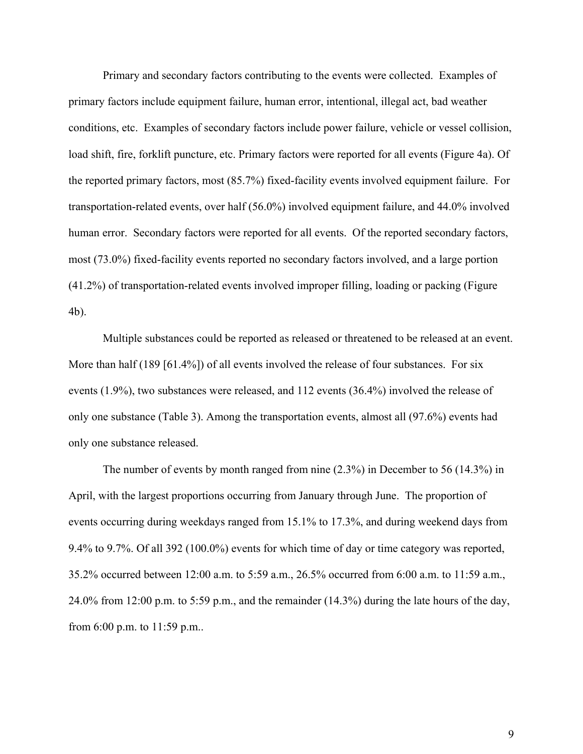Primary and secondary factors contributing to the events were collected. Examples of primary factors include equipment failure, human error, intentional, illegal act, bad weather conditions, etc. Examples of secondary factors include power failure, vehicle or vessel collision, load shift, fire, forklift puncture, etc. Primary factors were reported for all events (Figure 4a). Of the reported primary factors, most (85.7%) fixed-facility events involved equipment failure. For transportation-related events, over half (56.0%) involved equipment failure, and 44.0% involved human error. Secondary factors were reported for all events. Of the reported secondary factors, most (73.0%) fixed-facility events reported no secondary factors involved, and a large portion (41.2%) of transportation-related events involved improper filling, loading or packing (Figure 4b).

Multiple substances could be reported as released or threatened to be released at an event. More than half (189 [61.4%]) of all events involved the release of four substances. For six events (1.9%), two substances were released, and 112 events (36.4%) involved the release of only one substance (Table 3). Among the transportation events, almost all (97.6%) events had only one substance released.

The number of events by month ranged from nine (2.3%) in December to 56 (14.3%) in April, with the largest proportions occurring from January through June. The proportion of events occurring during weekdays ranged from 15.1% to 17.3%, and during weekend days from 9.4% to 9.7%. Of all 392 (100.0%) events for which time of day or time category was reported, 35.2% occurred between 12:00 a.m. to 5:59 a.m., 26.5% occurred from 6:00 a.m. to 11:59 a.m., 24.0% from 12:00 p.m. to 5:59 p.m., and the remainder (14.3%) during the late hours of the day, from 6:00 p.m. to 11:59 p.m..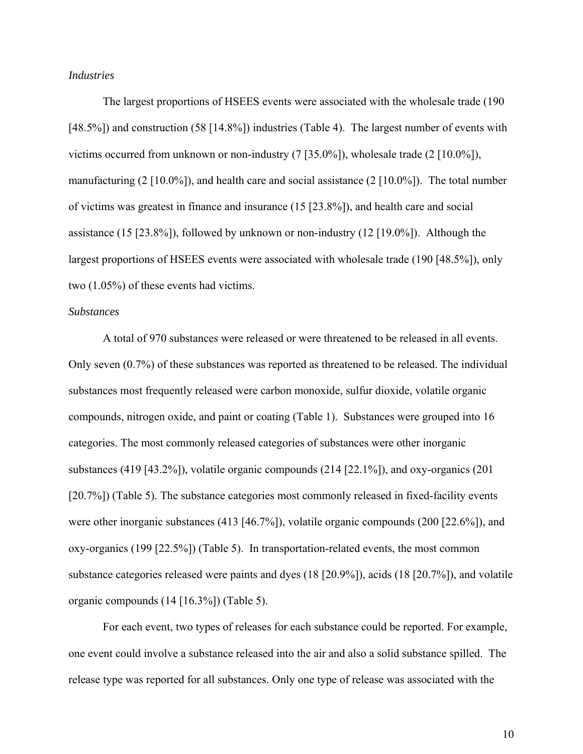#### *Industries*

The largest proportions of HSEES events were associated with the wholesale trade (190 [48.5%]) and construction (58 [14.8%]) industries (Table 4). The largest number of events with victims occurred from unknown or non-industry (7 [35.0%]), wholesale trade (2 [10.0%]), manufacturing  $(2 \mid 10.0\%)$ , and health care and social assistance  $(2 \mid 10.0\%)$ . The total number of victims was greatest in finance and insurance (15 [23.8%]), and health care and social assistance (15 [23.8%]), followed by unknown or non-industry (12 [19.0%]). Although the largest proportions of HSEES events were associated with wholesale trade (190 [48.5%]), only two (1.05%) of these events had victims.

#### *Substances*

A total of 970 substances were released or were threatened to be released in all events. Only seven (0.7%) of these substances was reported as threatened to be released. The individual substances most frequently released were carbon monoxide, sulfur dioxide, volatile organic compounds, nitrogen oxide, and paint or coating (Table 1). Substances were grouped into 16 categories. The most commonly released categories of substances were other inorganic substances (419 [43.2%]), volatile organic compounds (214 [22.1%]), and oxy-organics (201 [20.7%]) (Table 5). The substance categories most commonly released in fixed-facility events were other inorganic substances (413 [46.7%]), volatile organic compounds (200 [22.6%]), and oxy-organics (199 [22.5%]) (Table 5). In transportation-related events, the most common substance categories released were paints and dyes (18 [20.9%]), acids (18 [20.7%]), and volatile organic compounds (14 [16.3%]) (Table 5).

For each event, two types of releases for each substance could be reported. For example, one event could involve a substance released into the air and also a solid substance spilled. The release type was reported for all substances. Only one type of release was associated with the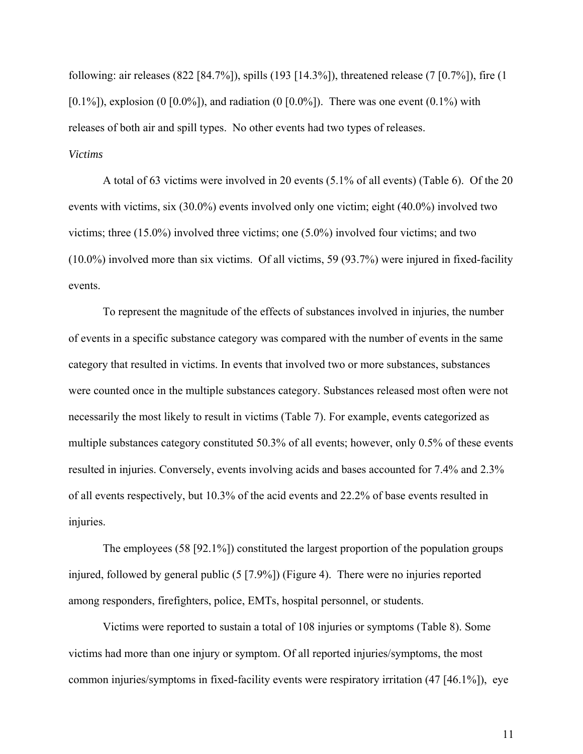following: air releases (822 [84.7%]), spills (193 [14.3%]), threatened release (7 [0.7%]), fire (1  $[0.1\%]$ , explosion  $(0 \, [0.0\%])$ , and radiation  $(0 \, [0.0\%])$ . There was one event  $(0.1\%)$  with releases of both air and spill types. No other events had two types of releases. *Victims* 

A total of 63 victims were involved in 20 events (5.1% of all events) (Table 6). Of the 20 events with victims, six (30.0%) events involved only one victim; eight (40.0%) involved two victims; three (15.0%) involved three victims; one (5.0%) involved four victims; and two (10.0%) involved more than six victims. Of all victims, 59 (93.7%) were injured in fixed-facility events.

To represent the magnitude of the effects of substances involved in injuries, the number of events in a specific substance category was compared with the number of events in the same category that resulted in victims. In events that involved two or more substances, substances were counted once in the multiple substances category. Substances released most often were not necessarily the most likely to result in victims (Table 7). For example, events categorized as multiple substances category constituted 50.3% of all events; however, only 0.5% of these events resulted in injuries. Conversely, events involving acids and bases accounted for 7.4% and 2.3% of all events respectively, but 10.3% of the acid events and 22.2% of base events resulted in injuries.

The employees (58 [92.1%]) constituted the largest proportion of the population groups injured, followed by general public (5 [7.9%]) (Figure 4). There were no injuries reported among responders, firefighters, police, EMTs, hospital personnel, or students.

Victims were reported to sustain a total of 108 injuries or symptoms (Table 8). Some victims had more than one injury or symptom. Of all reported injuries/symptoms, the most common injuries/symptoms in fixed-facility events were respiratory irritation (47 [46.1%]), eye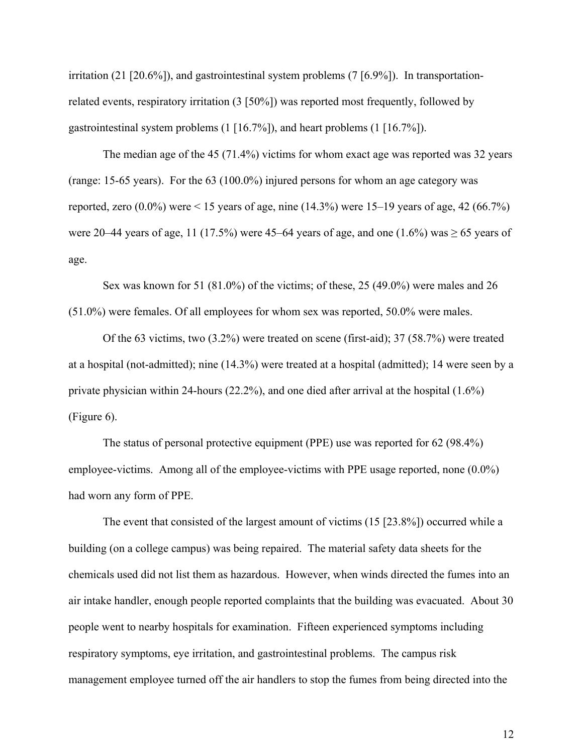irritation (21 [20.6%]), and gastrointestinal system problems (7 [6.9%]). In transportationrelated events, respiratory irritation (3 [50%]) was reported most frequently, followed by gastrointestinal system problems (1 [16.7%]), and heart problems (1 [16.7%]).

The median age of the 45 (71.4%) victims for whom exact age was reported was 32 years (range: 15-65 years). For the 63 (100.0%) injured persons for whom an age category was reported, zero  $(0.0\%)$  were  $\leq 15$  years of age, nine  $(14.3\%)$  were 15–19 years of age, 42 (66.7%) were 20–44 years of age, 11 (17.5%) were 45–64 years of age, and one (1.6%) was  $\geq$  65 years of age.

Sex was known for 51 (81.0%) of the victims; of these, 25 (49.0%) were males and 26 (51.0%) were females. Of all employees for whom sex was reported, 50.0% were males.

Of the 63 victims, two (3.2%) were treated on scene (first-aid); 37 (58.7%) were treated at a hospital (not-admitted); nine (14.3%) were treated at a hospital (admitted); 14 were seen by a private physician within 24-hours (22.2%), and one died after arrival at the hospital (1.6%) (Figure 6).

The status of personal protective equipment (PPE) use was reported for 62 (98.4%) employee-victims. Among all of the employee-victims with PPE usage reported, none (0.0%) had worn any form of PPE.

The event that consisted of the largest amount of victims (15 [23.8%]) occurred while a building (on a college campus) was being repaired. The material safety data sheets for the chemicals used did not list them as hazardous. However, when winds directed the fumes into an air intake handler, enough people reported complaints that the building was evacuated. About 30 people went to nearby hospitals for examination. Fifteen experienced symptoms including respiratory symptoms, eye irritation, and gastrointestinal problems. The campus risk management employee turned off the air handlers to stop the fumes from being directed into the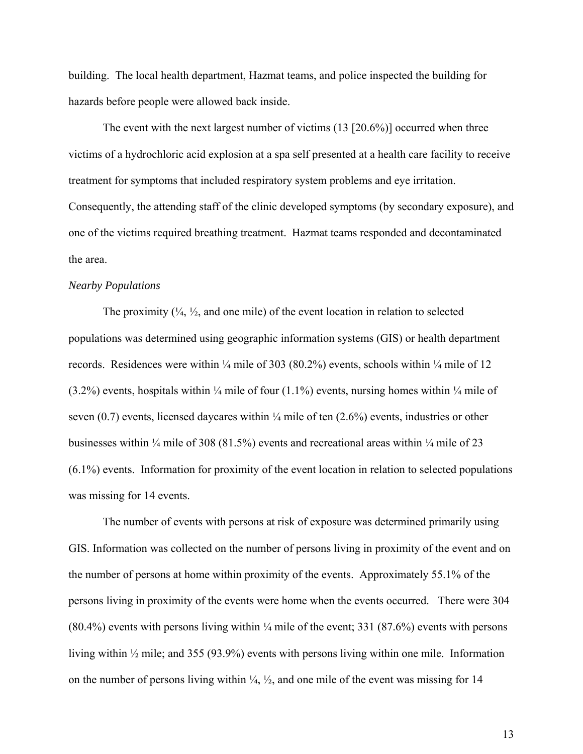building. The local health department, Hazmat teams, and police inspected the building for hazards before people were allowed back inside.

The event with the next largest number of victims (13 [20.6%)] occurred when three victims of a hydrochloric acid explosion at a spa self presented at a health care facility to receive treatment for symptoms that included respiratory system problems and eye irritation. Consequently, the attending staff of the clinic developed symptoms (by secondary exposure), and one of the victims required breathing treatment. Hazmat teams responded and decontaminated the area.

#### *Nearby Populations*

The proximity  $(\frac{1}{4}, \frac{1}{2})$ , and one mile) of the event location in relation to selected populations was determined using geographic information systems (GIS) or health department records. Residences were within  $\frac{1}{4}$  mile of 303 (80.2%) events, schools within  $\frac{1}{4}$  mile of 12  $(3.2\%)$  events, hospitals within  $\frac{1}{4}$  mile of four  $(1.1\%)$  events, nursing homes within  $\frac{1}{4}$  mile of seven  $(0.7)$  events, licensed daycares within  $\frac{1}{4}$  mile of ten  $(2.6\%)$  events, industries or other businesses within ¼ mile of 308 (81.5%) events and recreational areas within ¼ mile of 23 (6.1%) events. Information for proximity of the event location in relation to selected populations was missing for 14 events.

The number of events with persons at risk of exposure was determined primarily using GIS. Information was collected on the number of persons living in proximity of the event and on the number of persons at home within proximity of the events. Approximately 55.1% of the persons living in proximity of the events were home when the events occurred. There were 304  $(80.4\%)$  events with persons living within  $\frac{1}{4}$  mile of the event; 331 (87.6%) events with persons living within ½ mile; and 355 (93.9%) events with persons living within one mile. Information on the number of persons living within  $\frac{1}{4}$ ,  $\frac{1}{2}$ , and one mile of the event was missing for 14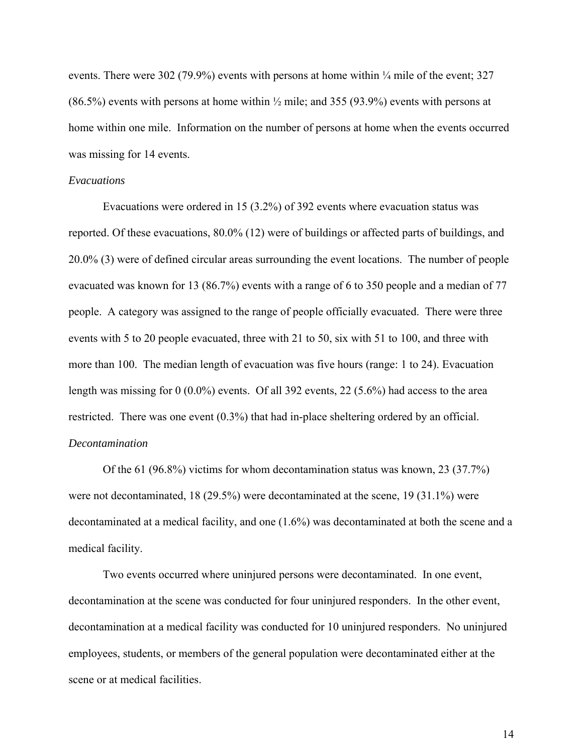events. There were 302 (79.9%) events with persons at home within  $\frac{1}{4}$  mile of the event; 327  $(86.5\%)$  events with persons at home within  $\frac{1}{2}$  mile; and 355 (93.9%) events with persons at home within one mile. Information on the number of persons at home when the events occurred was missing for 14 events.

#### *Evacuations*

Evacuations were ordered in 15 (3.2%) of 392 events where evacuation status was reported. Of these evacuations, 80.0% (12) were of buildings or affected parts of buildings, and 20.0% (3) were of defined circular areas surrounding the event locations. The number of people evacuated was known for 13 (86.7%) events with a range of 6 to 350 people and a median of 77 people. A category was assigned to the range of people officially evacuated. There were three events with 5 to 20 people evacuated, three with 21 to 50, six with 51 to 100, and three with more than 100. The median length of evacuation was five hours (range: 1 to 24). Evacuation length was missing for 0 (0.0%) events. Of all 392 events, 22 (5.6%) had access to the area restricted. There was one event (0.3%) that had in-place sheltering ordered by an official. *Decontamination* 

Of the 61 (96.8%) victims for whom decontamination status was known, 23 (37.7%) were not decontaminated, 18 (29.5%) were decontaminated at the scene, 19 (31.1%) were decontaminated at a medical facility, and one (1.6%) was decontaminated at both the scene and a medical facility.

Two events occurred where uninjured persons were decontaminated. In one event, decontamination at the scene was conducted for four uninjured responders. In the other event, decontamination at a medical facility was conducted for 10 uninjured responders. No uninjured employees, students, or members of the general population were decontaminated either at the scene or at medical facilities.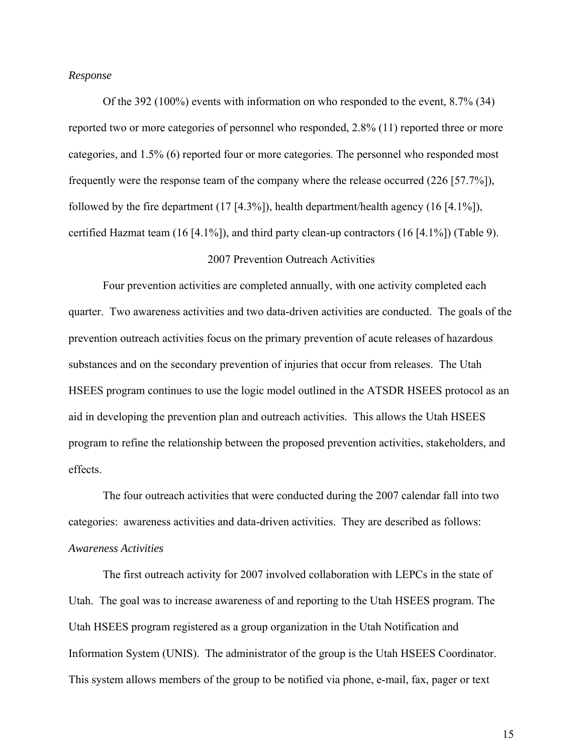#### *Response*

Of the 392 (100%) events with information on who responded to the event, 8.7% (34) reported two or more categories of personnel who responded, 2.8% (11) reported three or more categories, and 1.5% (6) reported four or more categories. The personnel who responded most frequently were the response team of the company where the release occurred (226 [57.7%]), followed by the fire department (17 [4.3%]), health department/health agency (16 [4.1%]), certified Hazmat team  $(16 \, [4.1\%])$ , and third party clean-up contractors  $(16 \, [4.1\%])$  (Table 9).

#### 2007 Prevention Outreach Activities

Four prevention activities are completed annually, with one activity completed each quarter. Two awareness activities and two data-driven activities are conducted. The goals of the prevention outreach activities focus on the primary prevention of acute releases of hazardous substances and on the secondary prevention of injuries that occur from releases. The Utah HSEES program continues to use the logic model outlined in the ATSDR HSEES protocol as an aid in developing the prevention plan and outreach activities. This allows the Utah HSEES program to refine the relationship between the proposed prevention activities, stakeholders, and effects.

The four outreach activities that were conducted during the 2007 calendar fall into two categories: awareness activities and data-driven activities. They are described as follows: *Awareness Activities*

The first outreach activity for 2007 involved collaboration with LEPCs in the state of Utah. The goal was to increase awareness of and reporting to the Utah HSEES program. The Utah HSEES program registered as a group organization in the Utah Notification and Information System (UNIS). The administrator of the group is the Utah HSEES Coordinator. This system allows members of the group to be notified via phone, e-mail, fax, pager or text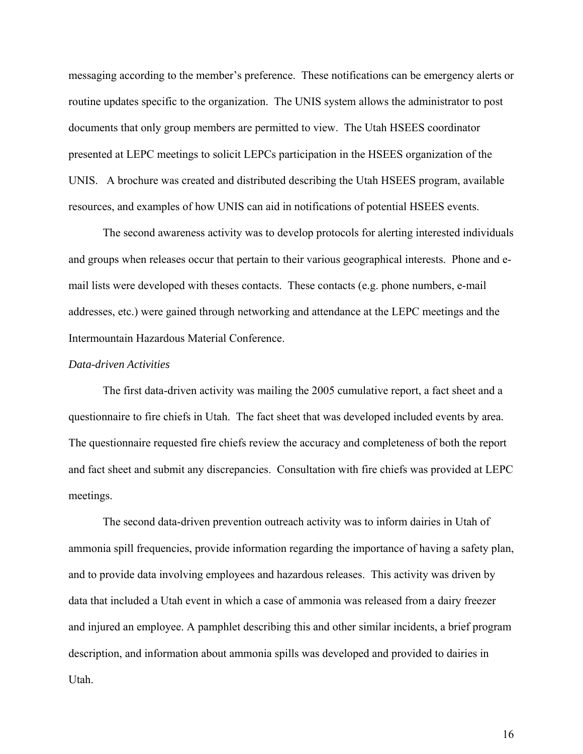messaging according to the member's preference. These notifications can be emergency alerts or routine updates specific to the organization. The UNIS system allows the administrator to post documents that only group members are permitted to view. The Utah HSEES coordinator presented at LEPC meetings to solicit LEPCs participation in the HSEES organization of the UNIS. A brochure was created and distributed describing the Utah HSEES program, available resources, and examples of how UNIS can aid in notifications of potential HSEES events.

The second awareness activity was to develop protocols for alerting interested individuals and groups when releases occur that pertain to their various geographical interests. Phone and email lists were developed with theses contacts. These contacts (e.g. phone numbers, e-mail addresses, etc.) were gained through networking and attendance at the LEPC meetings and the Intermountain Hazardous Material Conference.

#### *Data-driven Activities*

 The first data-driven activity was mailing the 2005 cumulative report, a fact sheet and a questionnaire to fire chiefs in Utah. The fact sheet that was developed included events by area. The questionnaire requested fire chiefs review the accuracy and completeness of both the report and fact sheet and submit any discrepancies. Consultation with fire chiefs was provided at LEPC meetings.

The second data-driven prevention outreach activity was to inform dairies in Utah of ammonia spill frequencies, provide information regarding the importance of having a safety plan, and to provide data involving employees and hazardous releases. This activity was driven by data that included a Utah event in which a case of ammonia was released from a dairy freezer and injured an employee. A pamphlet describing this and other similar incidents, a brief program description, and information about ammonia spills was developed and provided to dairies in Utah.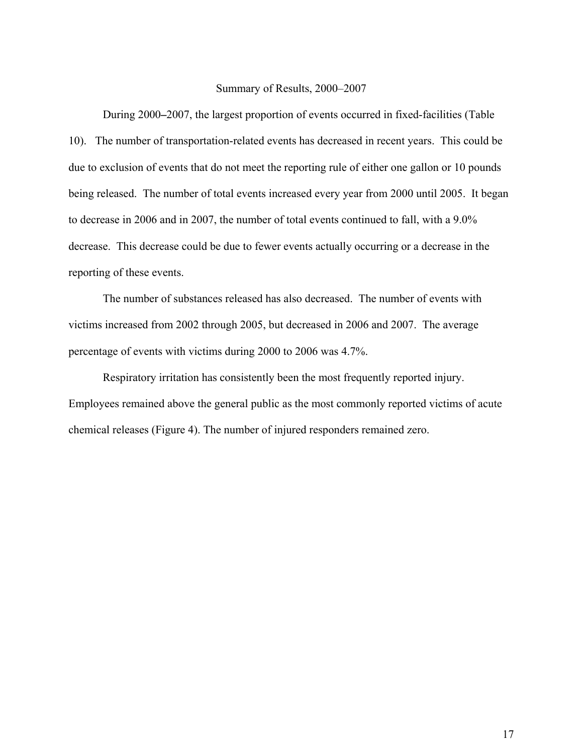#### Summary of Results, 2000–2007

During 2000**–**2007, the largest proportion of events occurred in fixed-facilities (Table 10). The number of transportation-related events has decreased in recent years. This could be due to exclusion of events that do not meet the reporting rule of either one gallon or 10 pounds being released. The number of total events increased every year from 2000 until 2005. It began to decrease in 2006 and in 2007, the number of total events continued to fall, with a 9.0% decrease. This decrease could be due to fewer events actually occurring or a decrease in the reporting of these events.

The number of substances released has also decreased. The number of events with victims increased from 2002 through 2005, but decreased in 2006 and 2007. The average percentage of events with victims during 2000 to 2006 was 4.7%.

Respiratory irritation has consistently been the most frequently reported injury. Employees remained above the general public as the most commonly reported victims of acute chemical releases (Figure 4). The number of injured responders remained zero.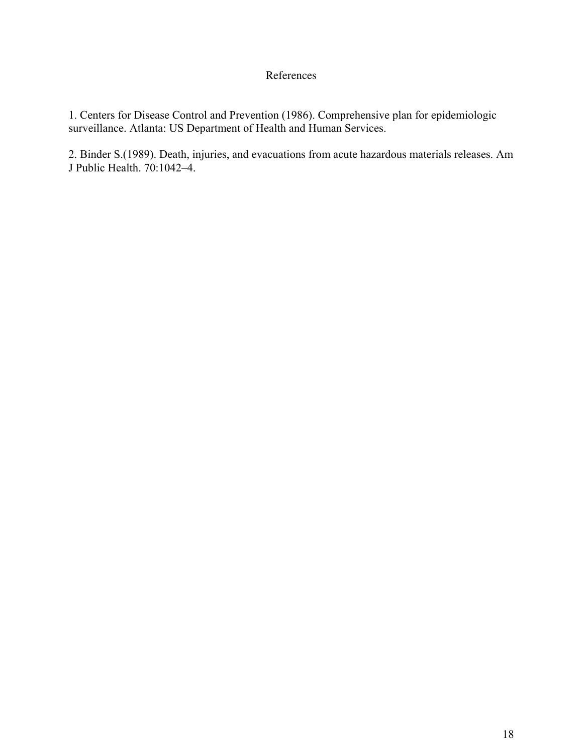## References

1. Centers for Disease Control and Prevention (1986). Comprehensive plan for epidemiologic surveillance. Atlanta: US Department of Health and Human Services.

2. Binder S.(1989). Death, injuries, and evacuations from acute hazardous materials releases. Am J Public Health. 70:1042–4.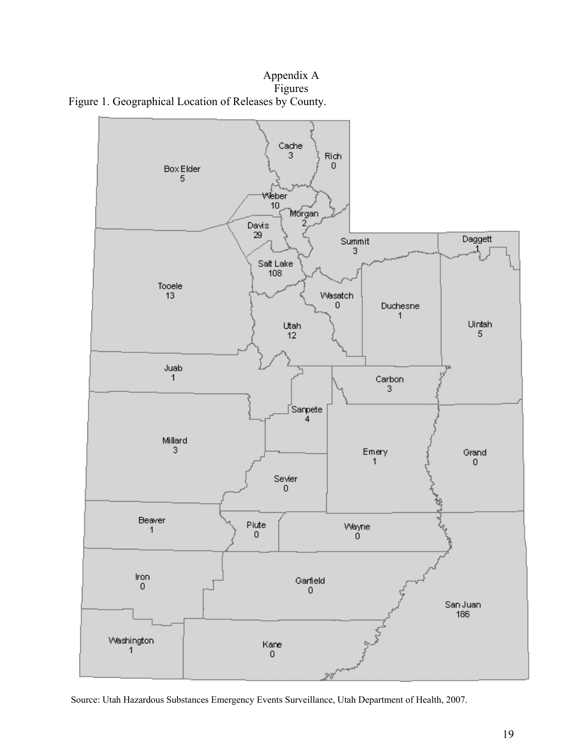Appendix A r:<br>Figures Figure 1. Geographical Location of Releases by County.



Source: Utah Hazardous Substances Emergency Events Surveillance, Utah Department of Health, 2007.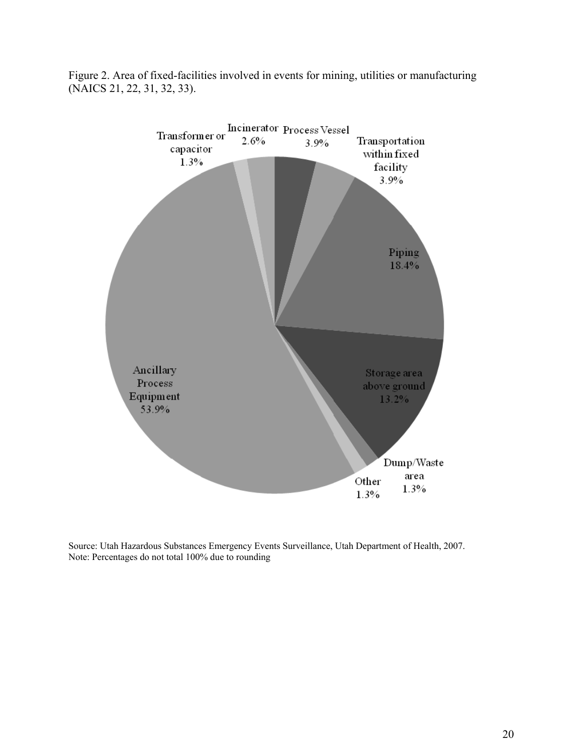Figure 2. Area of fixed-facilities involved in events for mining, utilities or manufacturing (NAICS 21, 22, 31, 32, 33).



Source: Utah Hazardous Substances Emergency Events Surveillance, Utah Department of Health, 2007. Note: Percentages do not total 100% due to rounding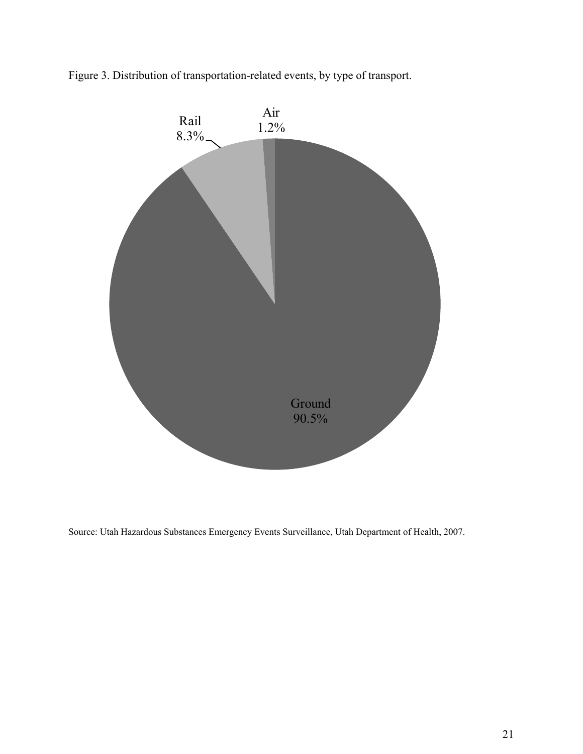

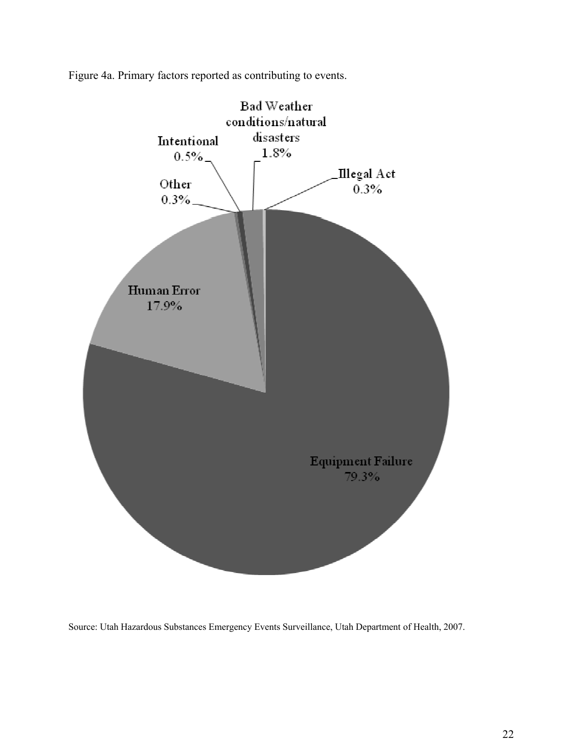

Figure 4a. Primary factors reported as contributing to events.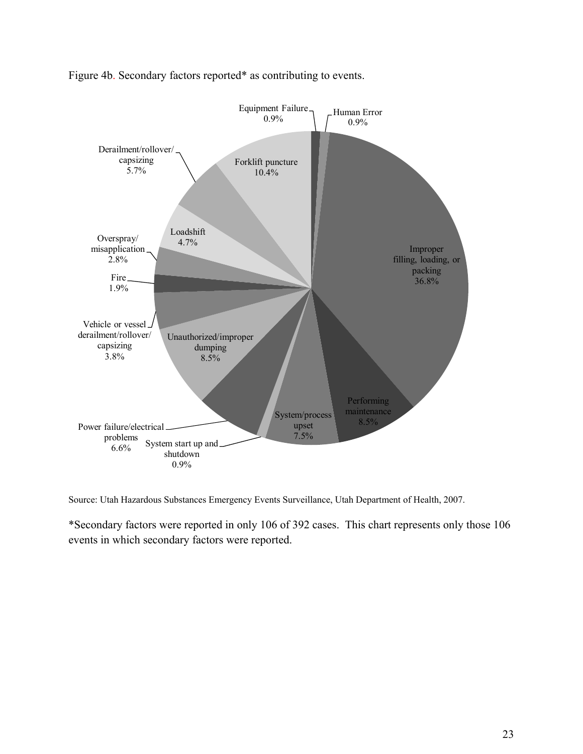

Figure 4b. Secondary factors reported\* as contributing to events.

Source: Utah Hazardous Substances Emergency Events Surveillance, Utah Department of Health, 2007.

\*Secondary factors were reported in only 106 of 392 cases. This chart represents only those 106 events in which secondary factors were reported.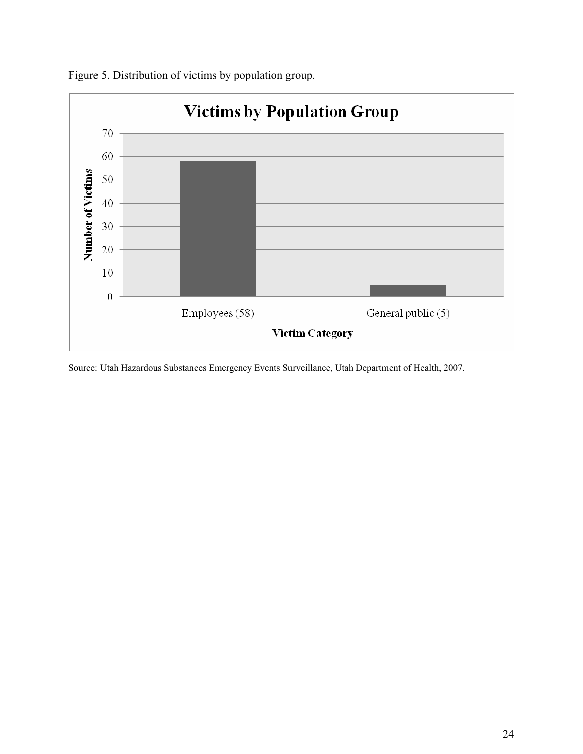

Figure 5. Distribution of victims by population group.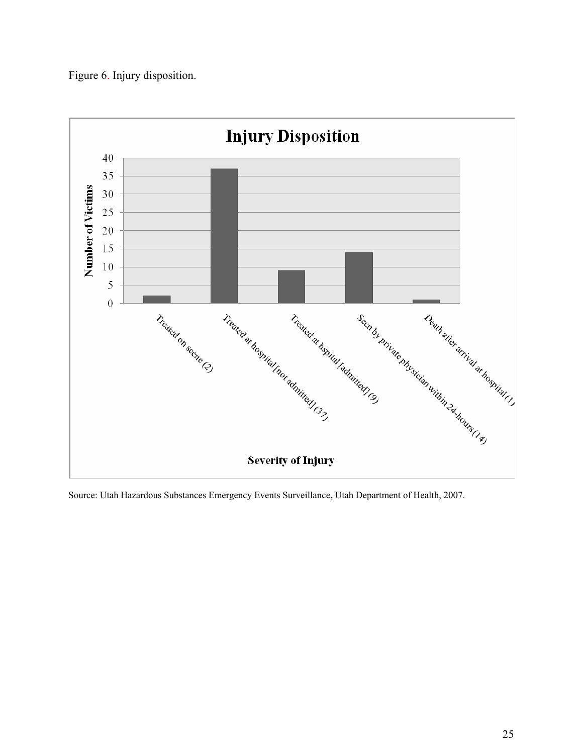

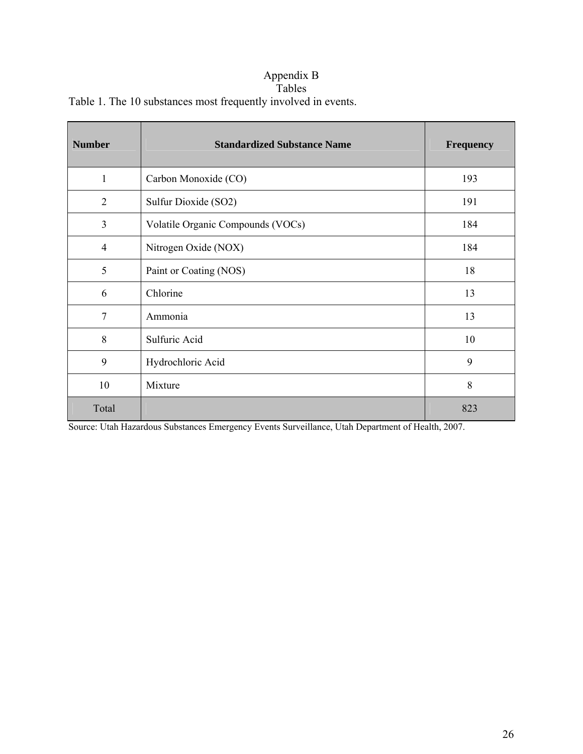### Appendix B Tables

Table 1. The 10 substances most frequently involved in events.

| <b>Number</b>  | <b>Standardized Substance Name</b> | <b>Frequency</b> |
|----------------|------------------------------------|------------------|
| $\mathbf{1}$   | Carbon Monoxide (CO)               | 193              |
| $\overline{2}$ | Sulfur Dioxide (SO2)               | 191              |
| 3              | Volatile Organic Compounds (VOCs)  | 184              |
| $\overline{4}$ | Nitrogen Oxide (NOX)               | 184              |
| 5              | Paint or Coating (NOS)             | 18               |
| 6              | Chlorine                           | 13               |
| 7              | Ammonia                            | 13               |
| 8              | Sulfuric Acid                      | 10               |
| 9              | Hydrochloric Acid                  | 9                |
| 10             | Mixture                            | 8                |
| Total          |                                    | 823              |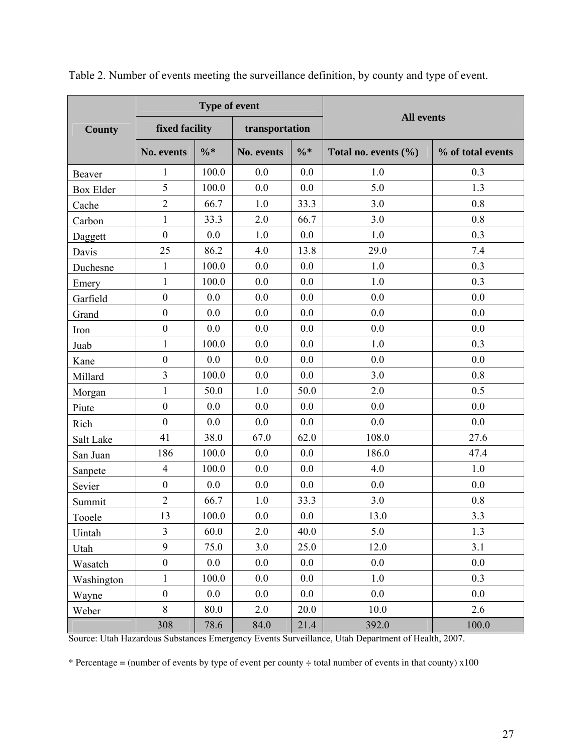|                  |                  | Type of event   |                |                 | <b>All events</b>        |                   |  |  |
|------------------|------------------|-----------------|----------------|-----------------|--------------------------|-------------------|--|--|
| <b>County</b>    | fixed facility   |                 | transportation |                 |                          |                   |  |  |
|                  | No. events       | $\frac{0}{6}$ * | No. events     | $\frac{0}{6}$ * | Total no. events $(\% )$ | % of total events |  |  |
| Beaver           | 1                | 100.0           | 0.0            | 0.0             | 1.0                      | 0.3               |  |  |
| <b>Box Elder</b> | 5                | 100.0           | 0.0            | 0.0             | 5.0                      | 1.3               |  |  |
| Cache            | $\overline{2}$   | 66.7            | 1.0            | 33.3            | 3.0                      | 0.8               |  |  |
| Carbon           | $\mathbf{1}$     | 33.3            | 2.0            | 66.7            | 3.0                      | 0.8               |  |  |
| Daggett          | $\mathbf{0}$     | 0.0             | 1.0            | 0.0             | 1.0                      | 0.3               |  |  |
| Davis            | 25               | 86.2            | 4.0            | 13.8            | 29.0                     | 7.4               |  |  |
| Duchesne         | $\mathbf{1}$     | 100.0           | 0.0            | 0.0             | 1.0                      | 0.3               |  |  |
| Emery            | $\mathbf{1}$     | 100.0           | 0.0            | 0.0             | 1.0                      | 0.3               |  |  |
| Garfield         | $\boldsymbol{0}$ | 0.0             | 0.0            | 0.0             | 0.0                      | 0.0               |  |  |
| Grand            | $\boldsymbol{0}$ | 0.0             | 0.0            | 0.0             | 0.0                      | 0.0               |  |  |
| Iron             | $\boldsymbol{0}$ | 0.0             | 0.0            | 0.0             | 0.0                      | 0.0               |  |  |
| Juab             | $\mathbf{1}$     | 100.0           | 0.0            | 0.0             | 1.0                      | 0.3               |  |  |
| Kane             | $\boldsymbol{0}$ | 0.0             | 0.0            | 0.0             | 0.0                      | 0.0               |  |  |
| Millard          | $\overline{3}$   | 100.0           | 0.0            | 0.0             | 3.0                      | 0.8               |  |  |
| Morgan           | $\mathbf{1}$     | 50.0            | 1.0            | 50.0            | 2.0                      | 0.5               |  |  |
| Piute            | $\mathbf{0}$     | 0.0             | 0.0            | 0.0             | 0.0                      | 0.0               |  |  |
| Rich             | $\boldsymbol{0}$ | 0.0             | 0.0            | 0.0             | 0.0                      | 0.0               |  |  |
| Salt Lake        | 41               | 38.0            | 67.0           | 62.0            | 108.0                    | 27.6              |  |  |
| San Juan         | 186              | 100.0           | 0.0            | 0.0             | 186.0                    | 47.4              |  |  |
| Sanpete          | $\overline{4}$   | 100.0           | 0.0            | 0.0             | 4.0                      | 1.0               |  |  |
| Sevier           | $\boldsymbol{0}$ | 0.0             | 0.0            | 0.0             | 0.0                      | 0.0               |  |  |
| Summit           | $\sqrt{2}$       | 66.7            | 1.0            | 33.3            | 3.0                      | 0.8               |  |  |
| Tooele           | 13               | 100.0           | 0.0            | 0.0             | 13.0                     | 3.3               |  |  |
| Uintah           | $\overline{3}$   | 60.0            | 2.0            | 40.0            | 5.0                      | 1.3               |  |  |
| Utah             | 9                | 75.0            | 3.0            | 25.0            | 12.0                     | 3.1               |  |  |
| Wasatch          | $\boldsymbol{0}$ | 0.0             | 0.0            | 0.0             | 0.0                      | 0.0               |  |  |
| Washington       | $\mathbf{1}$     | 100.0           | 0.0            | 0.0             | 1.0                      | 0.3               |  |  |
| Wayne            | $\boldsymbol{0}$ | 0.0             | 0.0            | 0.0             | 0.0                      | 0.0               |  |  |
| Weber            | 8                | 80.0            | 2.0            | 20.0            | 10.0                     | 2.6               |  |  |
|                  | 308              | 78.6            | 84.0           | 21.4            | 392.0                    | 100.0             |  |  |

Table 2. Number of events meeting the surveillance definition, by county and type of event.

Source: Utah Hazardous Substances Emergency Events Surveillance, Utah Department of Health, 2007.

\* Percentage = (number of events by type of event per county  $\div$  total number of events in that county) x100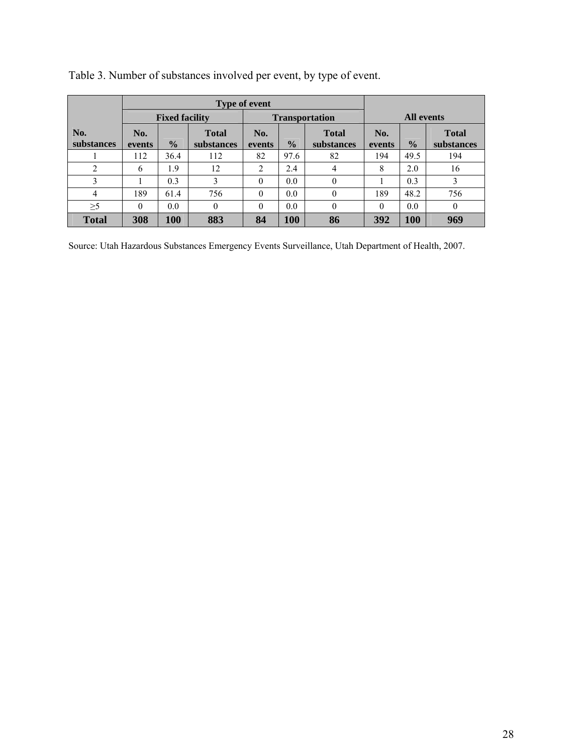|                   |               |                       | <b>Type of event</b>       |               |               |                            |                   |               |                            |  |
|-------------------|---------------|-----------------------|----------------------------|---------------|---------------|----------------------------|-------------------|---------------|----------------------------|--|
|                   |               | <b>Fixed facility</b> |                            |               |               | <b>Transportation</b>      | <b>All events</b> |               |                            |  |
| No.<br>substances | No.<br>events | $\frac{1}{2}$         | <b>Total</b><br>substances | No.<br>events | $\frac{0}{0}$ | <b>Total</b><br>substances | No.<br>events     | $\frac{0}{0}$ | <b>Total</b><br>substances |  |
|                   | 112           | 36.4                  | 112                        | 82            | 97.6          | 82                         | 194               | 49.5          | 194                        |  |
| 2                 | 6             | 1.9                   | 12                         | 2             | 2.4           | $\overline{4}$             | 8                 | 2.0           | 16                         |  |
| 3                 |               | 0.3                   | 3                          | $\theta$      | 0.0           | $\theta$                   |                   | 0.3           | 3                          |  |
| 4                 | 189           | 61.4                  | 756                        | $\Omega$      | 0.0           | $\theta$                   | 189               | 48.2          | 756                        |  |
| $\geq$ 5          | $\theta$      | 0.0                   | $\Omega$                   | $\theta$      | 0.0           | $\theta$                   | $\theta$          | 0.0           | $\theta$                   |  |
| <b>Total</b>      | 308           | 100                   | 883                        | 84            | 100           | 86                         | 392               | <b>100</b>    | 969                        |  |

Table 3. Number of substances involved per event, by type of event.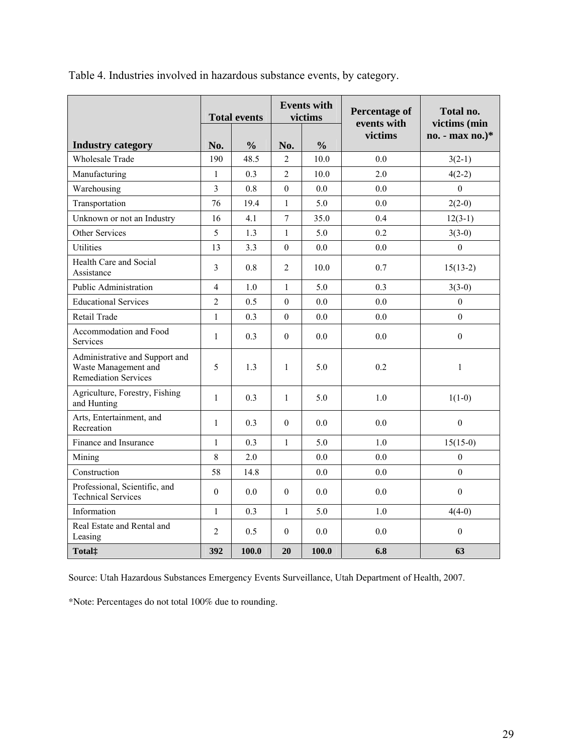|                                                                                       | <b>Total events</b> |               | <b>Events with</b><br>victims |               | <b>Percentage of</b><br>events with | Total no.<br>victims (min |  |
|---------------------------------------------------------------------------------------|---------------------|---------------|-------------------------------|---------------|-------------------------------------|---------------------------|--|
| <b>Industry category</b>                                                              | No.                 | $\frac{0}{0}$ | No.                           | $\frac{0}{0}$ | victims                             | no. - max no.)*           |  |
| <b>Wholesale Trade</b>                                                                | 190                 | 48.5          | $\overline{2}$                | 10.0          | 0.0                                 | $3(2-1)$                  |  |
| Manufacturing                                                                         | $\mathbf{1}$        | 0.3           | $\overline{2}$                | 10.0          | 2.0                                 | $4(2-2)$                  |  |
| Warehousing                                                                           | 3                   | 0.8           | $\overline{0}$                | 0.0           | 0.0                                 | $\Omega$                  |  |
| Transportation                                                                        | 76                  | 19.4          | $\mathbf{1}$                  | 5.0           | 0.0                                 | $2(2-0)$                  |  |
| Unknown or not an Industry                                                            | 16                  | 4.1           | $\overline{7}$                | 35.0          | 0.4                                 | $12(3-1)$                 |  |
| Other Services                                                                        | 5                   | 1.3           | $\mathbf{1}$                  | 5.0           | 0.2                                 | $3(3-0)$                  |  |
| Utilities                                                                             | 13                  | 3.3           | $\boldsymbol{0}$              | 0.0           | 0.0                                 | $\overline{0}$            |  |
| Health Care and Social<br>Assistance                                                  | 3                   | 0.8           | $\overline{2}$                | 10.0          | 0.7                                 | $15(13-2)$                |  |
| <b>Public Administration</b>                                                          | $\overline{4}$      | 1.0           | $\mathbf{1}$                  | 5.0           | 0.3                                 | $3(3-0)$                  |  |
| <b>Educational Services</b>                                                           | $\overline{2}$      | 0.5           | $\overline{0}$                | 0.0           | 0.0                                 | $\theta$                  |  |
| Retail Trade                                                                          | $\mathbf{1}$        | 0.3           | $\overline{0}$                | 0.0           | 0.0                                 | $\Omega$                  |  |
| Accommodation and Food<br>Services                                                    | $\mathbf{1}$        | 0.3           | $\overline{0}$                | 0.0           | 0.0                                 | $\overline{0}$            |  |
| Administrative and Support and<br>Waste Management and<br><b>Remediation Services</b> | 5                   | 1.3           | 1                             | 5.0           | 0.2                                 | $\mathbf{1}$              |  |
| Agriculture, Forestry, Fishing<br>and Hunting                                         | $\mathbf{1}$        | 0.3           | $\mathbf{1}$                  | 5.0           | 1.0                                 | $1(1-0)$                  |  |
| Arts, Entertainment, and<br>Recreation                                                | $\mathbf{1}$        | 0.3           | $\theta$                      | 0.0           | 0.0                                 | $\overline{0}$            |  |
| Finance and Insurance                                                                 | $\mathbf{1}$        | 0.3           | 1                             | 5.0           | 1.0                                 | $15(15-0)$                |  |
| Mining                                                                                | 8                   | 2.0           |                               | 0.0           | 0.0                                 | $\boldsymbol{0}$          |  |
| Construction                                                                          | 58                  | 14.8          |                               | 0.0           | 0.0                                 | $\theta$                  |  |
| Professional, Scientific, and<br><b>Technical Services</b>                            | $\theta$            | 0.0           | $\theta$                      | 0.0           | 0.0                                 | $\theta$                  |  |
| Information                                                                           | $\mathbf{1}$        | 0.3           | $\mathbf{1}$                  | 5.0           | 1.0                                 | $4(4-0)$                  |  |
| Real Estate and Rental and<br>Leasing                                                 | 2                   | 0.5           | $\theta$                      | 0.0           | 0.0                                 | $\Omega$                  |  |
| Total <sup>:</sup>                                                                    | 392                 | 100.0         | 20                            | 100.0         | 6.8                                 | 63                        |  |

Table 4. Industries involved in hazardous substance events, by category.

Source: Utah Hazardous Substances Emergency Events Surveillance, Utah Department of Health, 2007.

\*Note: Percentages do not total 100% due to rounding.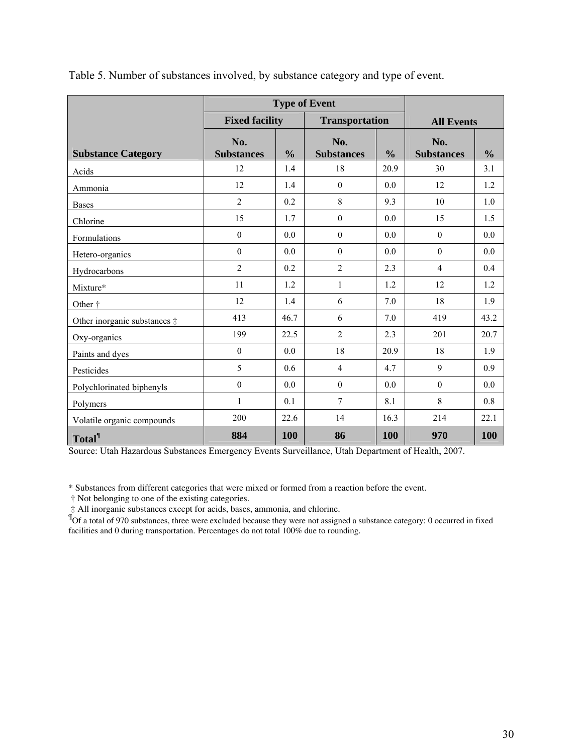|                                       | <b>Type of Event</b>     |               |                          |               |                          |               |  |
|---------------------------------------|--------------------------|---------------|--------------------------|---------------|--------------------------|---------------|--|
|                                       | <b>Fixed facility</b>    |               | <b>Transportation</b>    |               | <b>All Events</b>        |               |  |
| <b>Substance Category</b>             | No.<br><b>Substances</b> | $\frac{0}{0}$ | No.<br><b>Substances</b> | $\frac{0}{0}$ | No.<br><b>Substances</b> | $\frac{0}{0}$ |  |
| Acids                                 | 12                       | 1.4           | 18                       | 20.9          | 30                       | 3.1           |  |
| Ammonia                               | 12                       | 1.4           | $\boldsymbol{0}$         | 0.0           | 12                       | 1.2           |  |
| <b>Bases</b>                          | $\overline{2}$           | 0.2           | 8                        | 9.3           | 10                       | 1.0           |  |
| Chlorine                              | 15                       | 1.7           | $\boldsymbol{0}$         | 0.0           | 15                       | 1.5           |  |
| Formulations                          | $\mathbf{0}$             | 0.0           | $\boldsymbol{0}$         | 0.0           | $\mathbf{0}$             | 0.0           |  |
| Hetero-organics                       | $\theta$                 | 0.0           | $\theta$                 | 0.0           | $\theta$                 | 0.0           |  |
| Hydrocarbons                          | $\overline{2}$           | 0.2           | $\overline{2}$           | 2.3           | $\overline{4}$           | 0.4           |  |
| Mixture*                              | 11                       | 1.2           | $\mathbf{1}$             | 1.2           | 12                       | 1.2           |  |
| Other <sup>†</sup>                    | 12                       | 1.4           | 6                        | 7.0           | 18                       | 1.9           |  |
| Other inorganic substances $\ddagger$ | 413                      | 46.7          | 6                        | 7.0           | 419                      | 43.2          |  |
| Oxy-organics                          | 199                      | 22.5          | $\overline{2}$           | 2.3           | 201                      | 20.7          |  |
| Paints and dyes                       | $\theta$                 | 0.0           | 18                       | 20.9          | 18                       | 1.9           |  |
| Pesticides                            | 5                        | 0.6           | $\overline{4}$           | 4.7           | 9                        | 0.9           |  |
| Polychlorinated biphenyls             | $\boldsymbol{0}$         | 0.0           | $\boldsymbol{0}$         | 0.0           | $\boldsymbol{0}$         | 0.0           |  |
| Polymers                              | 1                        | 0.1           | 7                        | 8.1           | 8                        | 0.8           |  |
| Volatile organic compounds            | 200                      | 22.6          | 14                       | 16.3          | 214                      | 22.1          |  |
| <b>Total</b> <sup>¶</sup>             | 884                      | 100           | 86                       | 100           | 970                      | 100           |  |

Table 5. Number of substances involved, by substance category and type of event.

Source: Utah Hazardous Substances Emergency Events Surveillance, Utah Department of Health, 2007.

\* Substances from different categories that were mixed or formed from a reaction before the event.

† Not belonging to one of the existing categories.

 ‡ All inorganic substances except for acids, bases, ammonia, and chlorine. **¶** Of a total of 970 substances, three were excluded because they were not assigned a substance category: 0 occurred in fixed facilities and 0 during transportation. Percentages do not total 100% due to rounding.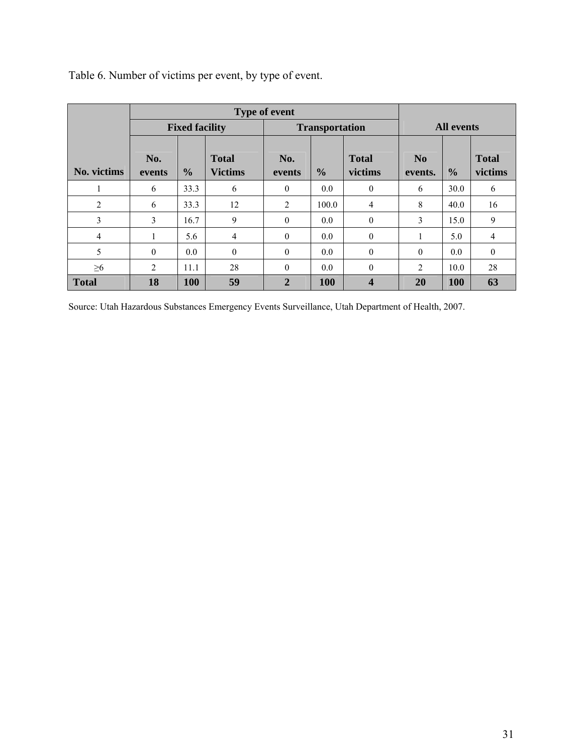| Table 6. Number of victims per event, by type of event. |  |
|---------------------------------------------------------|--|
|---------------------------------------------------------|--|

|                | <b>Fixed facility</b><br><b>Transportation</b> |               |                                |                |               |                         |                           | <b>All events</b> |                         |
|----------------|------------------------------------------------|---------------|--------------------------------|----------------|---------------|-------------------------|---------------------------|-------------------|-------------------------|
| No. victims    | No.<br>events                                  | $\frac{0}{0}$ | <b>Total</b><br><b>Victims</b> | No.<br>events  | $\frac{6}{9}$ | <b>Total</b><br>victims | N <sub>0</sub><br>events. | $\frac{0}{0}$     | <b>Total</b><br>victims |
|                | 6                                              | 33.3          | 6                              | $\theta$       | 0.0           | $\theta$                | 6                         | 30.0              | 6                       |
| $\overline{2}$ | 6                                              | 33.3          | 12                             | 2              | 100.0         | $\overline{4}$          | 8                         | 40.0              | 16                      |
| 3              | 3                                              | 16.7          | 9                              | $\mathbf{0}$   | 0.0           | $\mathbf{0}$            | 3                         | 15.0              | 9                       |
| 4              |                                                | 5.6           | $\overline{4}$                 | $\mathbf{0}$   | 0.0           | $\mathbf{0}$            |                           | 5.0               | 4                       |
| 5              | $\mathbf{0}$                                   | 0.0           | $\theta$                       | $\mathbf{0}$   | 0.0           | $\mathbf{0}$            | $\theta$                  | 0.0               | $\theta$                |
| $\geq 6$       | $\overline{2}$                                 | 11.1          | 28                             | $\theta$       | 0.0           | $\theta$                | 2                         | 10.0              | 28                      |
| <b>Total</b>   | 18                                             | 100           | 59                             | $\overline{2}$ | <b>100</b>    | $\overline{\mathbf{4}}$ | <b>20</b>                 | 100               | 63                      |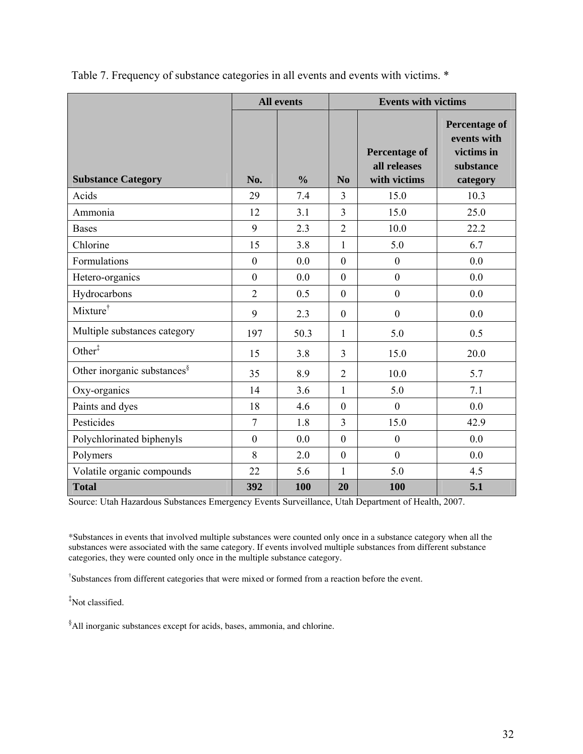|                                         |                | <b>All events</b> | <b>Events with victims</b> |                                                      |                                                                            |  |  |
|-----------------------------------------|----------------|-------------------|----------------------------|------------------------------------------------------|----------------------------------------------------------------------------|--|--|
| <b>Substance Category</b>               | No.            | $\frac{0}{0}$     | N <sub>0</sub>             | <b>Percentage of</b><br>all releases<br>with victims | <b>Percentage of</b><br>events with<br>victims in<br>substance<br>category |  |  |
| Acids                                   | 29             | 7.4               | 3                          | 15.0                                                 | 10.3                                                                       |  |  |
| Ammonia                                 | 12             | 3.1               | 3                          | 15.0                                                 | 25.0                                                                       |  |  |
| <b>Bases</b>                            | 9              | 2.3               | $\overline{2}$             | 10.0                                                 | 22.2                                                                       |  |  |
| Chlorine                                | 15             | 3.8               | $\mathbf{1}$               | 5.0                                                  | 6.7                                                                        |  |  |
| Formulations                            | $\mathbf{0}$   | 0.0               | $\mathbf{0}$               | $\mathbf{0}$                                         | 0.0                                                                        |  |  |
| Hetero-organics                         | $\mathbf{0}$   | 0.0               | $\mathbf{0}$               | $\overline{0}$                                       | 0.0                                                                        |  |  |
| Hydrocarbons                            | $\overline{2}$ | 0.5               | $\mathbf{0}$               | $\boldsymbol{0}$                                     | 0.0                                                                        |  |  |
| Mixture <sup>†</sup>                    | 9              | 2.3               | $\overline{0}$             | $\mathbf{0}$                                         | 0.0                                                                        |  |  |
| Multiple substances category            | 197            | 50.3              | 1                          | 5.0                                                  | 0.5                                                                        |  |  |
| Other <sup>‡</sup>                      | 15             | 3.8               | $\overline{3}$             | 15.0                                                 | 20.0                                                                       |  |  |
| Other inorganic substances <sup>§</sup> | 35             | 8.9               | $\overline{2}$             | 10.0                                                 | 5.7                                                                        |  |  |
| Oxy-organics                            | 14             | 3.6               | 1                          | 5.0                                                  | 7.1                                                                        |  |  |
| Paints and dyes                         | 18             | 4.6               | $\mathbf{0}$               | $\overline{0}$                                       | 0.0                                                                        |  |  |
| Pesticides                              | $\overline{7}$ | 1.8               | $\overline{3}$             | 15.0                                                 | 42.9                                                                       |  |  |
| Polychlorinated biphenyls               | $\mathbf{0}$   | 0.0               | $\mathbf{0}$               | $\mathbf{0}$                                         | 0.0                                                                        |  |  |
| Polymers                                | 8              | 2.0               | $\boldsymbol{0}$           | $\boldsymbol{0}$                                     | 0.0                                                                        |  |  |
| Volatile organic compounds              | 22             | 5.6               | 1                          | 5.0                                                  | 4.5                                                                        |  |  |
| <b>Total</b>                            | 392            | 100               | 20                         | 100                                                  | 5.1                                                                        |  |  |

Table 7. Frequency of substance categories in all events and events with victims. \*

Source: Utah Hazardous Substances Emergency Events Surveillance, Utah Department of Health, 2007.

\*Substances in events that involved multiple substances were counted only once in a substance category when all the substances were associated with the same category. If events involved multiple substances from different substance categories, they were counted only once in the multiple substance category.

† Substances from different categories that were mixed or formed from a reaction before the event.

‡ Not classified.

 $\delta$ All inorganic substances except for acids, bases, ammonia, and chlorine.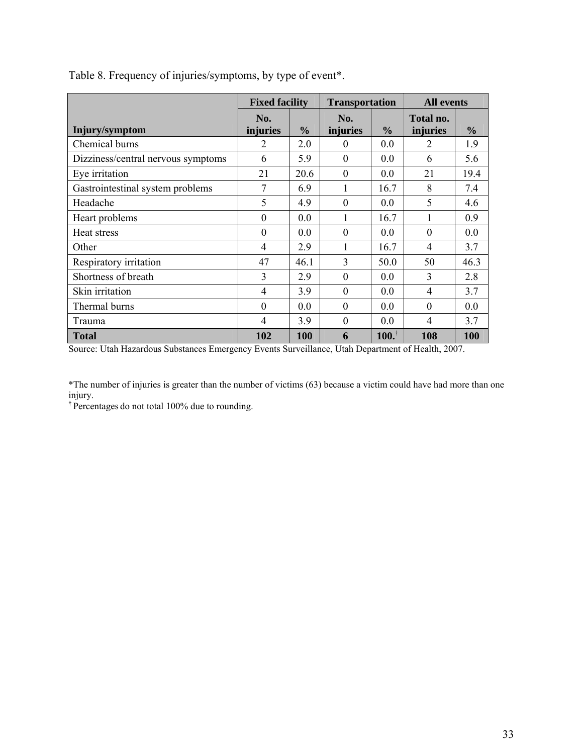|                                    | <b>Fixed facility</b> |               | <b>Transportation</b> |                     | <b>All events</b>     |               |  |
|------------------------------------|-----------------------|---------------|-----------------------|---------------------|-----------------------|---------------|--|
| Injury/symptom                     | No.<br>injuries       | $\frac{6}{9}$ | No.<br>injuries       | $\frac{0}{0}$       | Total no.<br>injuries | $\frac{6}{9}$ |  |
| Chemical burns                     | 2                     | 2.0           | $\theta$              | 0.0                 | 2                     | 1.9           |  |
| Dizziness/central nervous symptoms | 6                     | 5.9           | $\Omega$              | 0.0                 | 6                     | 5.6           |  |
| Eye irritation                     | 21                    | 20.6          | $\Omega$              | 0.0                 | 21                    | 19.4          |  |
| Gastrointestinal system problems   | 7                     | 6.9           | 1                     | 16.7                | 8                     | 7.4           |  |
| Headache                           | 5                     | 4.9           | $\theta$              | 0.0                 | 5                     | 4.6           |  |
| Heart problems                     | $\theta$              | 0.0           | 1                     | 16.7                |                       | 0.9           |  |
| Heat stress                        | $\Omega$              | 0.0           | $\Omega$              | 0.0                 | $\Omega$              | 0.0           |  |
| Other                              | $\overline{4}$        | 2.9           | 1                     | 16.7                | $\overline{4}$        | 3.7           |  |
| Respiratory irritation             | 47                    | 46.1          | 3                     | 50.0                | 50                    | 46.3          |  |
| Shortness of breath                | $\overline{3}$        | 2.9           | $\Omega$              | 0.0                 | $\overline{3}$        | 2.8           |  |
| Skin irritation                    | $\overline{4}$        | 3.9           | $\theta$              | 0.0                 | $\overline{4}$        | 3.7           |  |
| Thermal burns                      | $\Omega$              | 0.0           | $\Omega$              | 0.0                 | $\Omega$              | 0.0           |  |
| Trauma                             | $\overline{4}$        | 3.9           | $\Omega$              | 0.0                 | $\overline{4}$        | 3.7           |  |
| <b>Total</b>                       | 102                   | 100           | 6                     | $100.$ <sup>†</sup> | 108                   | 100           |  |

Table 8. Frequency of injuries/symptoms, by type of event\*.

Source: Utah Hazardous Substances Emergency Events Surveillance, Utah Department of Health, 2007.

\*The number of injuries is greater than the number of victims (63) because a victim could have had more than one injury.

† Percentages do not total 100% due to rounding.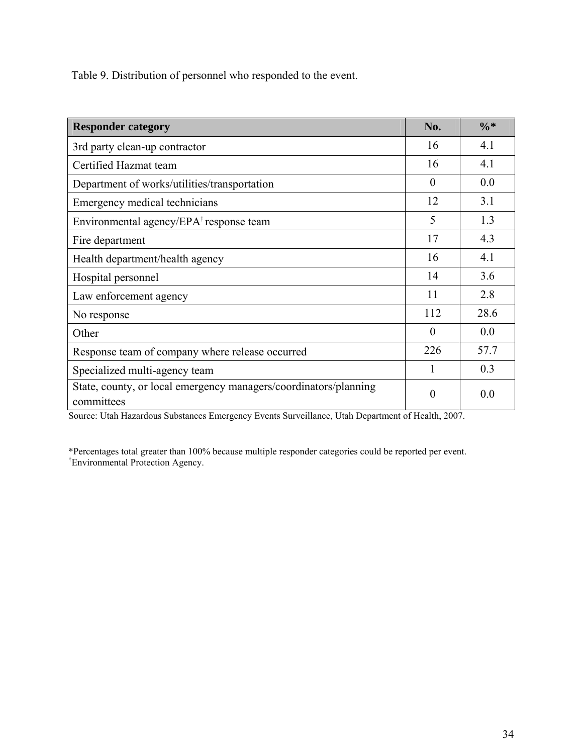Table 9. Distribution of personnel who responded to the event.

| <b>Responder category</b>                                                      | No.      | $\frac{0}{6}$ * |
|--------------------------------------------------------------------------------|----------|-----------------|
| 3rd party clean-up contractor                                                  | 16       | 4.1             |
| Certified Hazmat team                                                          | 16       | 4.1             |
| Department of works/utilities/transportation                                   | $\Omega$ | 0.0             |
| Emergency medical technicians                                                  | 12       | 3.1             |
| Environmental agency/EPA <sup>†</sup> response team                            | 5        | 1.3             |
| Fire department                                                                | 17       | 4.3             |
| Health department/health agency                                                | 16       | 4.1             |
| Hospital personnel                                                             | 14       | 3.6             |
| Law enforcement agency                                                         | 11       | 2.8             |
| No response                                                                    | 112      | 28.6            |
| Other                                                                          | $\Omega$ | 0.0             |
| Response team of company where release occurred                                | 226      | 57.7            |
| Specialized multi-agency team                                                  |          | 0.3             |
| State, county, or local emergency managers/coordinators/planning<br>committees | $\theta$ | 0.0             |

Source: Utah Hazardous Substances Emergency Events Surveillance, Utah Department of Health, 2007.

\*Percentages total greater than 100% because multiple responder categories could be reported per event. † Environmental Protection Agency.